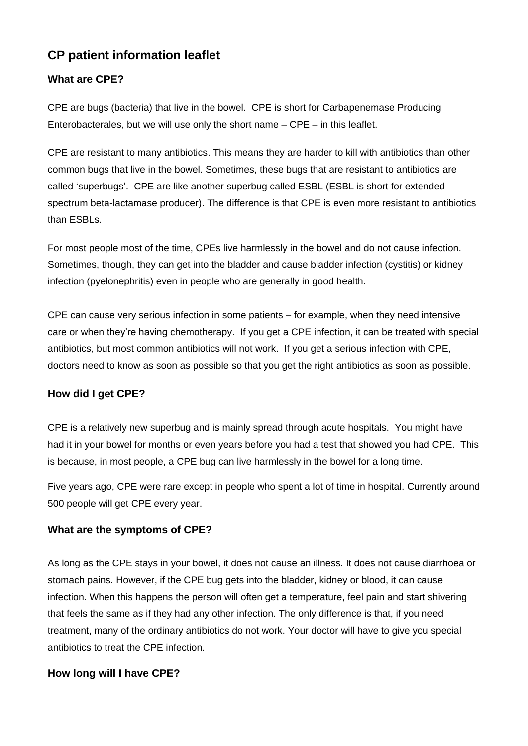# **CP patient information leaflet**

## **What are CPE?**

CPE are bugs (bacteria) that live in the bowel. CPE is short for Carbapenemase Producing Enterobacterales, but we will use only the short name – CPE – in this leaflet.

CPE are resistant to many antibiotics. This means they are harder to kill with antibiotics than other common bugs that live in the bowel. Sometimes, these bugs that are resistant to antibiotics are called 'superbugs'. CPE are like another superbug called ESBL (ESBL is short for extendedspectrum beta-lactamase producer). The difference is that CPE is even more resistant to antibiotics than ESBLs.

For most people most of the time, CPEs live harmlessly in the bowel and do not cause infection. Sometimes, though, they can get into the bladder and cause bladder infection (cystitis) or kidney infection (pyelonephritis) even in people who are generally in good health.

CPE can cause very serious infection in some patients – for example, when they need intensive care or when they're having chemotherapy. If you get a CPE infection, it can be treated with special antibiotics, but most common antibiotics will not work. If you get a serious infection with CPE, doctors need to know as soon as possible so that you get the right antibiotics as soon as possible.

## **How did I get CPE?**

CPE is a relatively new superbug and is mainly spread through acute hospitals. You might have had it in your bowel for months or even years before you had a test that showed you had CPE. This is because, in most people, a CPE bug can live harmlessly in the bowel for a long time.

Five years ago, CPE were rare except in people who spent a lot of time in hospital. Currently around 500 people will get CPE every year.

#### **What are the symptoms of CPE?**

As long as the CPE stays in your bowel, it does not cause an illness. It does not cause diarrhoea or stomach pains. However, if the CPE bug gets into the bladder, kidney or blood, it can cause infection. When this happens the person will often get a temperature, feel pain and start shivering that feels the same as if they had any other infection. The only difference is that, if you need treatment, many of the ordinary antibiotics do not work. Your doctor will have to give you special antibiotics to treat the CPE infection.

#### **How long will I have CPE?**